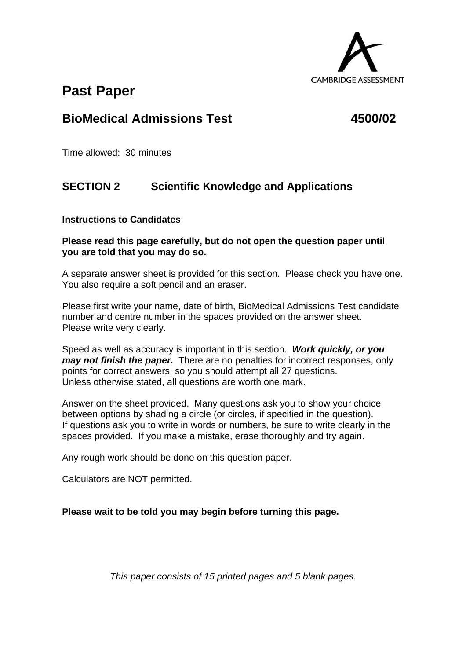

# **Past Paper**

## **BioMedical Admissions Test 4500/02**

Time allowed: 30 minutes

## **SECTION 2 Scientific Knowledge and Applications**

### **Instructions to Candidates**

### **Please read this page carefully, but do not open the question paper until you are told that you may do so.**

A separate answer sheet is provided for this section. Please check you have one. You also require a soft pencil and an eraser.

Please first write your name, date of birth, BioMedical Admissions Test candidate number and centre number in the spaces provided on the answer sheet. Please write very clearly.

Speed as well as accuracy is important in this section. *Work quickly, or you may not finish the paper.* There are no penalties for incorrect responses, only points for correct answers, so you should attempt all 27 questions. Unless otherwise stated, all questions are worth one mark.

Answer on the sheet provided. Many questions ask you to show your choice between options by shading a circle (or circles, if specified in the question). If questions ask you to write in words or numbers, be sure to write clearly in the spaces provided. If you make a mistake, erase thoroughly and try again.

Any rough work should be done on this question paper.

Calculators are NOT permitted.

**Please wait to be told you may begin before turning this page.** 

*This paper consists of 15 printed pages and 5 blank pages.*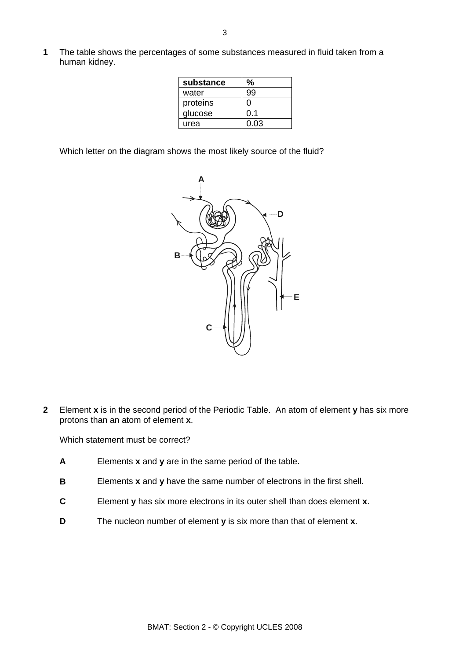**1** The table shows the percentages of some substances measured in fluid taken from a human kidney.

| substance | ℅    |
|-----------|------|
| water     | q۵   |
| proteins  | וו   |
| glucose   | 0.1  |
| urea      | 0.03 |

Which letter on the diagram shows the most likely source of the fluid?



**2** Element **x** is in the second period of the Periodic Table. An atom of element **y** has six more protons than an atom of element **x**.

Which statement must be correct?

- **A** Elements **x** and **y** are in the same period of the table.
- **B** Elements **x** and **y** have the same number of electrons in the first shell.
- **C** Element **y** has six more electrons in its outer shell than does element **x**.
- **D** The nucleon number of element **y** is six more than that of element **x**.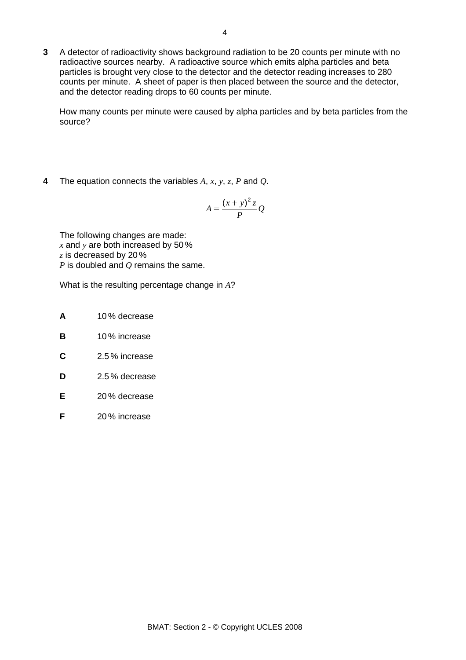**3** A detector of radioactivity shows background radiation to be 20 counts per minute with no radioactive sources nearby. A radioactive source which emits alpha particles and beta particles is brought very close to the detector and the detector reading increases to 280 counts per minute. A sheet of paper is then placed between the source and the detector, and the detector reading drops to 60 counts per minute.

How many counts per minute were caused by alpha particles and by beta particles from the source?

**4** The equation connects the variables *A*, *x*, *y*, *z*, *P* and *Q*.

$$
A = \frac{(x+y)^2 z}{P} Q
$$

The following changes are made: *x* and *y* are both increased by 50 % *z* is decreased by 20 % *P* is doubled and *Q* remains the same.

What is the resulting percentage change in *A*?

- **A** 10 % decrease
- **B** 10 % increase
- **C** 2.5 % increase
- **D** 2.5 % decrease
- **E** 20 % decrease
- **F** 20 % increase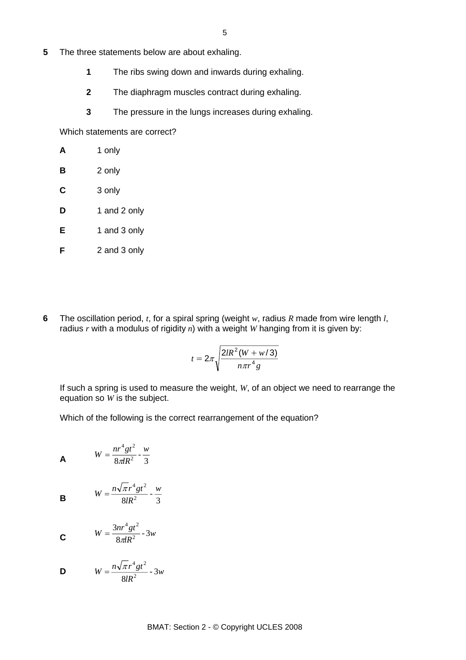- **5** The three statements below are about exhaling.
	- **1** The ribs swing down and inwards during exhaling.
	- **2** The diaphragm muscles contract during exhaling.
	- **3** The pressure in the lungs increases during exhaling.

Which statements are correct?

| A           | 1 only       |
|-------------|--------------|
| B           | 2 only       |
| $\mathbf c$ | 3 only       |
| D           | 1 and 2 only |
| Е           | 1 and 3 only |
| F           | 2 and 3 only |

**6** The oscillation period, *t*, for a spiral spring (weight *w*, radius *R* made from wire length *l*, radius *r* with a modulus of rigidity *n*) with a weight *W* hanging from it is given by:

$$
t=2\pi\sqrt{\frac{2lR^2(W+w/3)}{n\pi r^4g}}
$$

If such a spring is used to measure the weight, *W*, of an object we need to rearrange the equation so *W* is the subject.

Which of the following is the correct rearrangement of the equation?

$$
W = \frac{nr^4gt^2}{8\pi R^2} - \frac{w}{3}
$$

**B**  $W = \frac{n \sqrt{2} r^2}{8 l R^2} - \frac{n}{3}$  $4gt^2$  *w lR*  $W = \frac{n\sqrt{\pi r^4 gt}}{ar^2}$ 

$$
W = \frac{3nr^4gt^2}{8\pi R^2} - 3w
$$

$$
W = \frac{n\sqrt{\pi}r^4gt^2}{8IR^2} - 3w
$$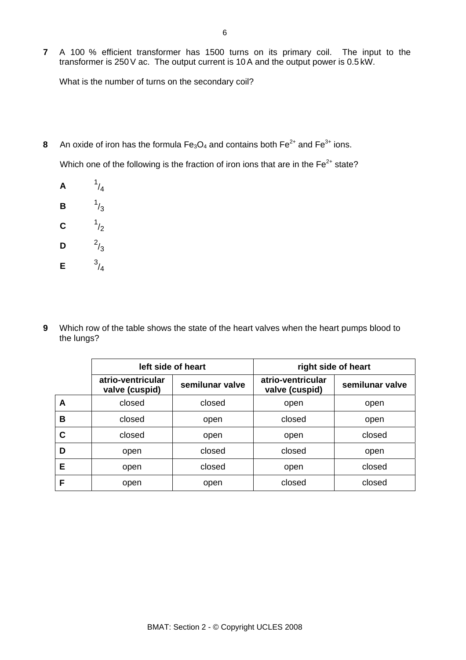**7** A 100 % efficient transformer has 1500 turns on its primary coil. The input to the transformer is 250V ac. The output current is 10A and the output power is 0.5 kW.

What is the number of turns on the secondary coil?

**8** An oxide of iron has the formula  $Fe<sub>3</sub>O<sub>4</sub>$  and contains both  $Fe<sup>2+</sup>$  and  $Fe<sup>3+</sup>$  ions.

Which one of the following is the fraction of iron ions that are in the  $Fe<sup>2+</sup> state?$ 

**A** <sup>1</sup>  $1/4$ **B** <sup>1</sup>  $1/3$ **C** <sup>1</sup>  $1/2$ **D**  $^{2}/_{3}$ **E**  $3/4$ 

**9** Which row of the table shows the state of the heart valves when the heart pumps blood to the lungs?

|   | left side of heart                  |                 | right side of heart                 |                 |
|---|-------------------------------------|-----------------|-------------------------------------|-----------------|
|   | atrio-ventricular<br>valve (cuspid) | semilunar valve | atrio-ventricular<br>valve (cuspid) | semilunar valve |
| A | closed                              | closed          | open                                | open            |
| В | closed                              | open            | closed                              | open            |
| C | closed                              | open            | open                                | closed          |
| D | open                                | closed          | closed                              | open            |
| Е | open                                | closed          | open                                | closed          |
| F | open                                | open            | closed                              | closed          |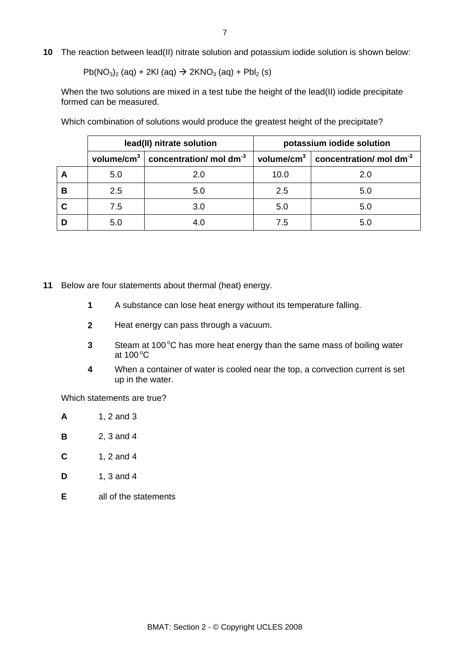**10** The reaction between lead(II) nitrate solution and potassium iodide solution is shown below:

 $Pb(NO<sub>3</sub>)<sub>2</sub> (aq) + 2KI (aq) \rightarrow 2KNO<sub>3</sub> (aq) + PbI<sub>2</sub> (s)$ 

When the two solutions are mixed in a test tube the height of the lead(II) iodide precipitate formed can be measured.

|   | lead(II) nitrate solution |                                                                | potassium iodide solution |                                                                    |
|---|---------------------------|----------------------------------------------------------------|---------------------------|--------------------------------------------------------------------|
|   |                           | volume/cm <sup>3</sup> $ $ concentration/ mol dm <sup>-3</sup> |                           | volume/cm <sup>3</sup> $\vert$ concentration/ mol dm <sup>-3</sup> |
| Α | 5.0                       | 2.0                                                            | 10.0                      | 2.0                                                                |
| в | 2.5                       | 5.0                                                            | 2.5                       | 5.0                                                                |
|   | 7.5                       | 3.0                                                            | 5.0                       | 5.0                                                                |
|   | 5.0                       | 4.0                                                            | 7.5                       | 5.0                                                                |

Which combination of solutions would produce the greatest height of the precipitate?

- **11** Below are four statements about thermal (heat) energy.
	- **1** A substance can lose heat energy without its temperature falling.
	- **2** Heat energy can pass through a vacuum.
- **3** Steam at 100 °C has more heat energy than the same mass of boiling water at 100 $^{\circ}$ C
	- **4** When a container of water is cooled near the top, a convection current is set up in the water.

Which statements are true?

- **A** 1, 2 and 3
- **B** 2, 3 and 4
- **C** 1, 2 and 4
- **D** 1, 3 and 4
- **E** all of the statements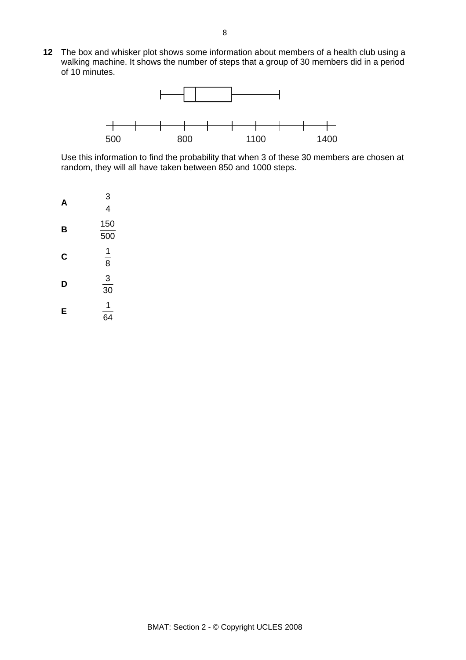**12** The box and whisker plot shows some information about members of a health club using a walking machine. It shows the number of steps that a group of 30 members did in a period of 10 minutes.



Use this information to find the probability that when 3 of these 30 members are chosen at random, they will all have taken between 850 and 1000 steps.

| Д | $\frac{3}{4}$ |
|---|---------------|
| в | 150<br>500    |
| C | 1<br>8        |
| D | 3<br>30       |
| E | 1<br>64       |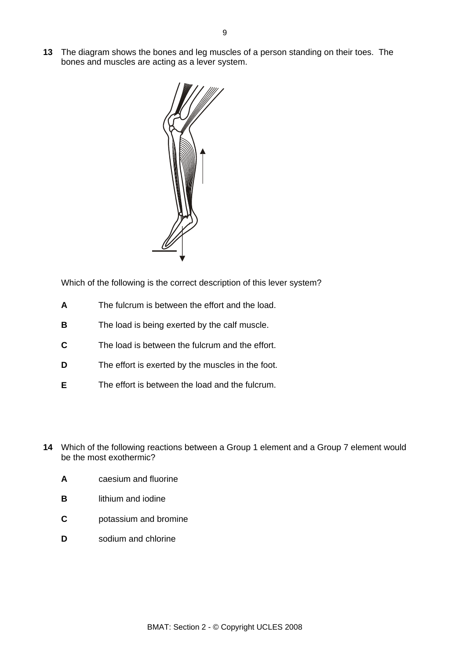The diagram shows the bones and leg muscles of a person standing on their toes. The **13**  bones and muscles are acting as a lever system.



Which of the following is the correct description of this lever system?

- **A** The fulcrum is between the effort and the load.
- **B** The load is being exerted by the calf muscle.
- **C** The load is between the fulcrum and the effort.
- **D** The effort is exerted by the muscles in the foot.
- **E** The effort is between the load and the fulcrum.
- **14** Which of the following reactions between a Group 1 element and a Group 7 element would be the most exothermic?
	- **A** caesium and fluorine
	- **B** lithium and iodine
	- **C** potassium and bromine
	- **D** sodium and chlorine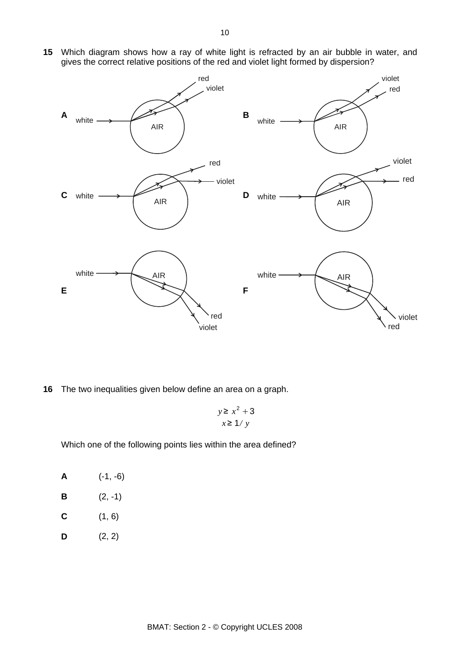- **A**  AIR red violet white  $\longrightarrow$   $\qquad \qquad$  **B** white  $\longrightarrow$  AIR violet red **C**  AIR white red violet **D** AIR white · violet red **E**  white  $\longrightarrow$  AIR violet red **F**  white  $\longrightarrow$  AIR violet red
- **15** Which diagram shows how a ray of white light is refracted by an air bubble in water, and gives the correct relative positions of the red and violet light formed by dispersion?

**16** The two inequalities given below define an area on a graph.

$$
y \ge x^2 + 3
$$
  

$$
x \ge 1/y
$$

Which one of the following points lies within the area defined?

**A** (-1, -6) **B**  $(2, -1)$ **C** (1, 6) **D**  $(2, 2)$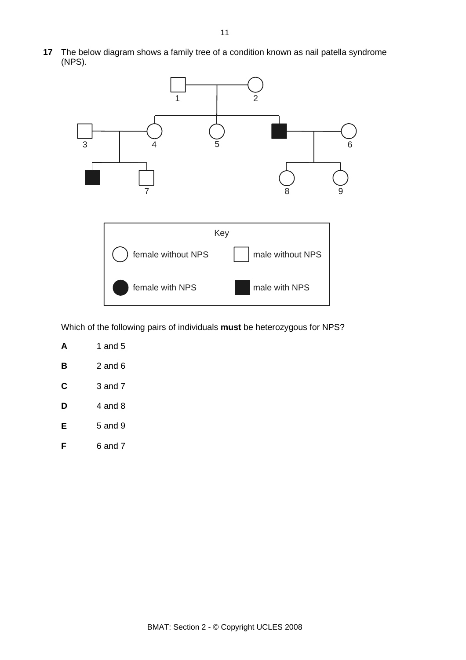The below diagram shows a family tree of a condition known as nail patella syndrome **17**  (NPS).



Which of the following pairs of individuals **must** be heterozygous for NPS?

|   | 1 and 5 |
|---|---------|
| в | 2 and 6 |
| С | 3 and 7 |
| D | 4 and 8 |
| Е | 5 and 9 |
|   | ճ and 7 |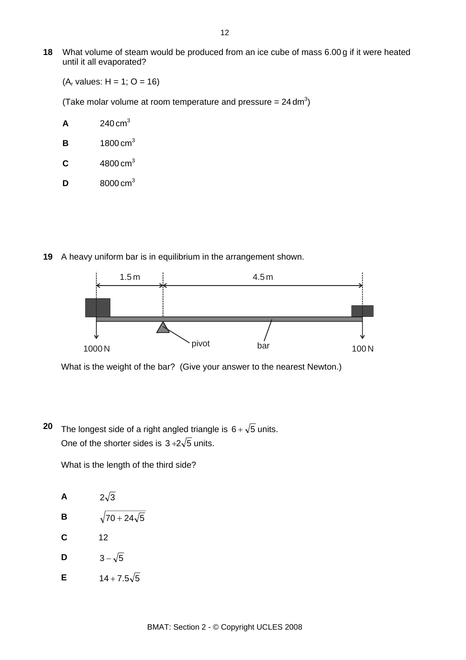**18** What volume of steam would be produced from an ice cube of mass 6.00 g if it were heated until it all evaporated?

 $(A_r \text{ values: } H = 1; O = 16)$ 

(Take molar volume at room temperature and pressure =  $24 \text{ dm}^3$ )

- **A**  $240 \text{ cm}^3$
- **B** 1800 cm3
- **C** 4800 cm3
- **D** 8000 cm3
- **19** A heavy uniform bar is in equilibrium in the arrangement shown.



What is the weight of the bar? (Give your answer to the nearest Newton.)

**20** The longest side of a right angled triangle is  $6 + \sqrt{5}$  units. One of the shorter sides is  $3+2\sqrt{5}$  units.

What is the length of the third side?

A  $2\sqrt{3}$ **B**  $\sqrt{70+24\sqrt{5}}$ **C** 12 **D**  $3-\sqrt{5}$ **E**  $14 + 7.5\sqrt{5}$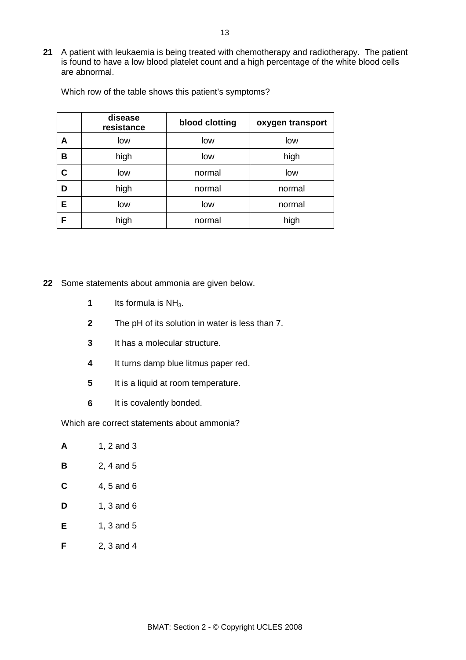**21** A patient with leukaemia is being treated with chemotherapy and radiotherapy. The patient is found to have a low blood platelet count and a high percentage of the white blood cells are abnormal.

|   | disease<br>resistance | blood clotting | oxygen transport |
|---|-----------------------|----------------|------------------|
| A | low                   | low            | low              |
| в | high                  | low            | high             |
| C | low                   | normal         | low              |
| D | high                  | normal         | normal           |
| E | low                   | low            | normal           |
| F | high                  | normal         | high             |

Which row of the table shows this patient's symptoms?

**22** Some statements about ammonia are given below.

- **1** Its formula is NH<sub>3</sub>.
- **2** The pH of its solution in water is less than 7.
- **3** It has a molecular structure.
- **4** It turns damp blue litmus paper red.
- **5** It is a liquid at room temperature.
- **6** It is covalently bonded.

Which are correct statements about ammonia?

- **A** 1, 2 and 3
- **B** 2, 4 and 5
- **C** 4, 5 and 6
- **D** 1, 3 and 6
- **E** 1, 3 and 5
- **F** 2, 3 and 4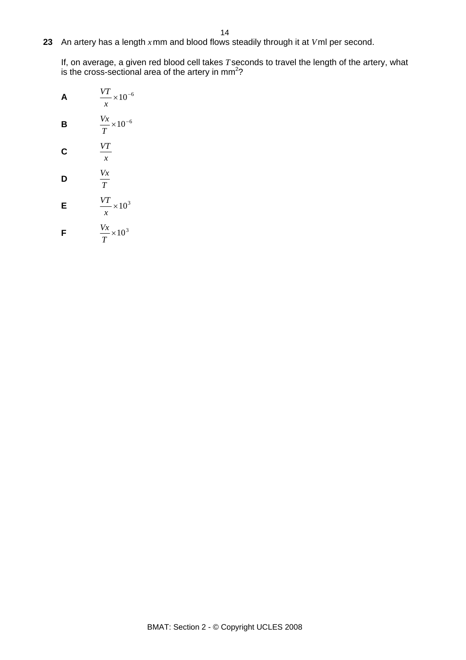**23** An artery has a length *x* mm and blood flows steadily through it at *V*ml per second.

If, on average, a given red blood cell takes *T*seconds to travel the length of the artery, what is the cross-sectional area of the artery in  $mm<sup>2</sup>$ ?

A  
\n
$$
\frac{VT}{x} \times 10^{-6}
$$
\nB  
\nB  
\n
$$
\frac{Vx}{T} \times 10^{-6}
$$
\nC  
\nC  
\n
$$
\frac{VT}{x}
$$
\nD  
\n
$$
\frac{Vx}{T}
$$
\nE  
\n
$$
\frac{VT}{x} \times 10^{3}
$$
\nF  
\n
$$
\frac{Vx}{x} \times 10^{3}
$$

*T*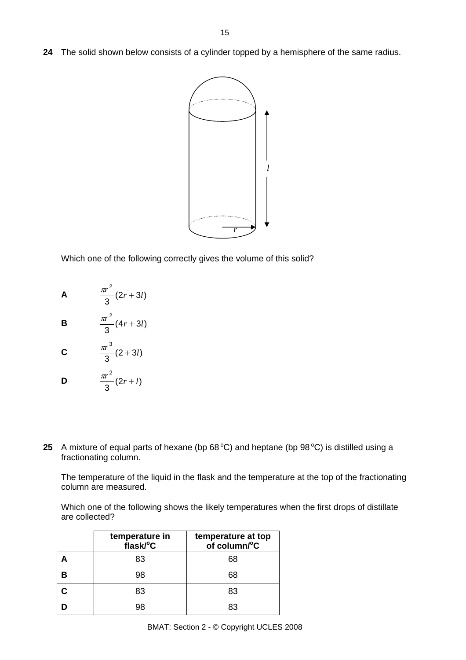**24** The solid shown below consists of a cylinder topped by a hemisphere of the same radius.



Which one of the following correctly gives the volume of this solid?



**B**  $\frac{4r}{3} (4r + 3l)$  $\frac{\pi r^2}{2}(4r+3l)$ 

$$
C \qquad \qquad \frac{\pi r^3}{3}(2+3l)
$$

$$
D \qquad \qquad \frac{\pi r^2}{3}(2r+l)
$$

**25** A mixture of equal parts of hexane (bp  $68^{\circ}$ C) and heptane (bp  $98^{\circ}$ C) is distilled using a fractionating column.

The temperature of the liquid in the flask and the temperature at the top of the fractionating column are measured.

Which one of the following shows the likely temperatures when the first drops of distillate are collected?

| temperature in<br>flask/°C | temperature at top<br>of column/°C |
|----------------------------|------------------------------------|
| 83                         | 68                                 |
| 98                         | 68                                 |
| 83                         | 83                                 |
| פפ                         |                                    |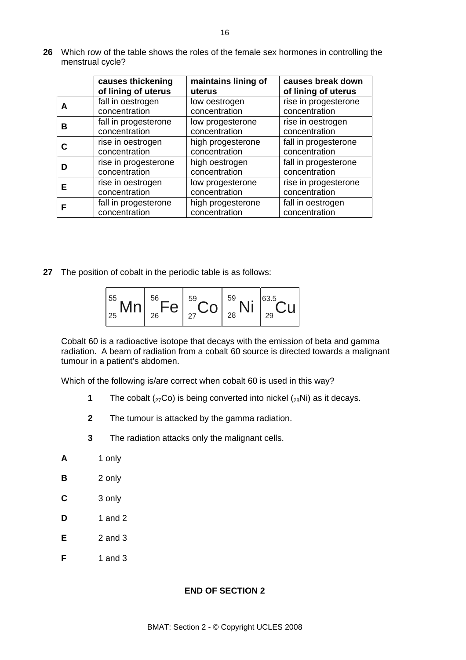- **causes thickening of lining of uterus maintains lining of uterus causes break down of lining of uterus A fall in oestrogen** concentration low oestrogen concentration rise in progesterone concentration **B** fall in progesterone concentration low progesterone concentration rise in oestrogen concentration **C** rise in oestrogen concentration high progesterone concentration fall in progesterone concentration **D** rise in progesterone concentration high oestrogen concentration fall in progesterone concentration **E** rise in oestrogen concentration low progesterone concentration rise in progesterone concentration **FF fall in progesterone** concentration high progesterone concentration fall in oestrogen concentration
- **26** Which row of the table shows the roles of the female sex hormones in controlling the menstrual cycle?

**27** The position of cobalt in the periodic table is as follows:

$$
\begin{array}{|c|c|c|c|}\hline \rule{0pt}{16pt}^{55} Mn & \rule{0pt}{16pt}^{56} Fe & \rule{0pt}{16pt}^{59} Co & \rule{0pt}{16pt}^{59} Ni & \rule{0pt}{16pt}^{63.5} Cu & \rule{0pt}{16pt}^{25} \\ \hline \end{array}
$$

Cobalt 60 is a radioactive isotope that decays with the emission of beta and gamma radiation. A beam of radiation from a cobalt 60 source is directed towards a malignant tumour in a patient's abdomen.

Which of the following is/are correct when cobalt 60 is used in this way?

- **1** The cobalt  $\left(\frac{27}{\text{CO}}\right)$  is being converted into nickel  $\left(\frac{28}{\text{Ni}}\right)$  as it decays.
- **2** The tumour is attacked by the gamma radiation.
- **3** The radiation attacks only the malignant cells.
- **A** 1 only
- **B** 2 only
- **C** 3 only
- **D** 1 and 2
- **E** 2 and 3
- **F** 1 and 3

#### **END OF SECTION 2**